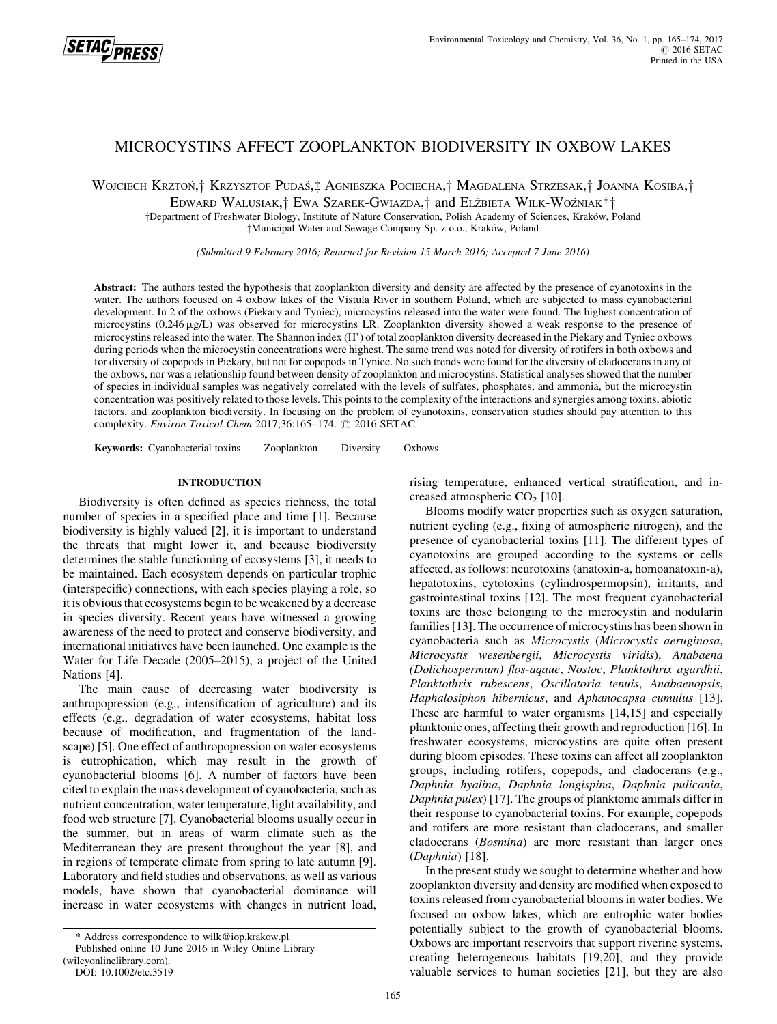

# MICROCYSTINS AFFECT ZOOPLANKTON BIODIVERSITY IN OXBOW LAKES

WOJCIECH KRZTOŃ,† KRZYSZTOF PUDAŚ,‡ AGNIESZKA POCIECHA,† MAGDALENA STRZESAK,† JOANNA KOSIBA,†

EDWARD WALUSIAK,<sup>†</sup> EWA SZAREK-GWIAZDA,† and ELŻBIETA WILK-WOŹNIAK\*<sup>†</sup>

yDepartment of Freshwater Biology, Institute of Nature Conservation, Polish Academy of Sciences, Krakow, Poland zMunicipal Water and Sewage Company Sp. z o.o., Krakow, Poland

(Submitted 9 February 2016; Returned for Revision 15 March 2016; Accepted 7 June 2016)

Abstract: The authors tested the hypothesis that zooplankton diversity and density are affected by the presence of cyanotoxins in the water. The authors focused on 4 oxbow lakes of the Vistula River in southern Poland, which are subjected to mass cyanobacterial development. In 2 of the oxbows (Piekary and Tyniec), microcystins released into the water were found. The highest concentration of microcystins  $(0.246 \mu g/L)$  was observed for microcystins LR. Zooplankton diversity showed a weak response to the presence of microcystins released into the water. The Shannon index (H') of total zooplankton diversity decreased in the Piekary and Tyniec oxbows during periods when the microcystin concentrations were highest. The same trend was noted for diversity of rotifers in both oxbows and for diversity of copepods in Piekary, but not for copepods in Tyniec. No such trends were found for the diversity of cladocerans in any of the oxbows, nor was a relationship found between density of zooplankton and microcystins. Statistical analyses showed that the number of species in individual samples was negatively correlated with the levels of sulfates, phosphates, and ammonia, but the microcystin concentration was positively related to those levels. This points to the complexity of the interactions and synergies among toxins, abiotic factors, and zooplankton biodiversity. In focusing on the problem of cyanotoxins, conservation studies should pay attention to this complexity. Environ Toxicol Chem 2017;36:165-174. C 2016 SETAC

Keywords: Cyanobacterial toxins Zooplankton Diversity Oxbows

# INTRODUCTION

Biodiversity is often defined as species richness, the total number of species in a specified place and time [1]. Because biodiversity is highly valued [2], it is important to understand the threats that might lower it, and because biodiversity determines the stable functioning of ecosystems [3], it needs to be maintained. Each ecosystem depends on particular trophic (interspecific) connections, with each species playing a role, so it is obvious that ecosystems begin to be weakened by a decrease in species diversity. Recent years have witnessed a growing awareness of the need to protect and conserve biodiversity, and international initiatives have been launched. One example is the Water for Life Decade (2005–2015), a project of the United Nations [4].

The main cause of decreasing water biodiversity is anthropopression (e.g., intensification of agriculture) and its effects (e.g., degradation of water ecosystems, habitat loss because of modification, and fragmentation of the landscape) [5]. One effect of anthropopression on water ecosystems is eutrophication, which may result in the growth of cyanobacterial blooms [6]. A number of factors have been cited to explain the mass development of cyanobacteria, such as nutrient concentration, water temperature, light availability, and food web structure [7]. Cyanobacterial blooms usually occur in the summer, but in areas of warm climate such as the Mediterranean they are present throughout the year [8], and in regions of temperate climate from spring to late autumn [9]. Laboratory and field studies and observations, as well as various models, have shown that cyanobacterial dominance will increase in water ecosystems with changes in nutrient load,

rising temperature, enhanced vertical stratification, and increased atmospheric  $CO<sub>2</sub>$  [10].

Blooms modify water properties such as oxygen saturation, nutrient cycling (e.g., fixing of atmospheric nitrogen), and the presence of cyanobacterial toxins [11]. The different types of cyanotoxins are grouped according to the systems or cells affected, as follows: neurotoxins (anatoxin-a, homoanatoxin-a), hepatotoxins, cytotoxins (cylindrospermopsin), irritants, and gastrointestinal toxins [12]. The most frequent cyanobacterial toxins are those belonging to the microcystin and nodularin families [13]. The occurrence of microcystins has been shown in cyanobacteria such as Microcystis (Microcystis aeruginosa, Microcystis wesenbergii, Microcystis viridis), Anabaena (Dolichospermum) flos-aqaue, Nostoc, Planktothrix agardhii, Planktothrix rubescens, Oscillatoria tenuis, Anabaenopsis, Haphalosiphon hibernicus, and Aphanocapsa cumulus [13]. These are harmful to water organisms [14,15] and especially planktonic ones, affecting their growth and reproduction [16]. In freshwater ecosystems, microcystins are quite often present during bloom episodes. These toxins can affect all zooplankton groups, including rotifers, copepods, and cladocerans (e.g., Daphnia hyalina, Daphnia longispina, Daphnia pulicania, Daphnia pulex) [17]. The groups of planktonic animals differ in their response to cyanobacterial toxins. For example, copepods and rotifers are more resistant than cladocerans, and smaller cladocerans (Bosmina) are more resistant than larger ones (Daphnia) [18].

In the present study we sought to determine whether and how zooplankton diversity and density are modified when exposed to toxins released from cyanobacterial blooms in water bodies. We focused on oxbow lakes, which are eutrophic water bodies potentially subject to the growth of cyanobacterial blooms. Oxbows are important reservoirs that support riverine systems, creating heterogeneous habitats [19,20], and they provide valuable services to human societies [21], but they are also

<sup>\*</sup> Address correspondence to wilk@iop.krakow.pl

Published online 10 June 2016 in Wiley Online Library

<sup>(</sup>wileyonlinelibrary.com).

DOI: 10.1002/etc.3519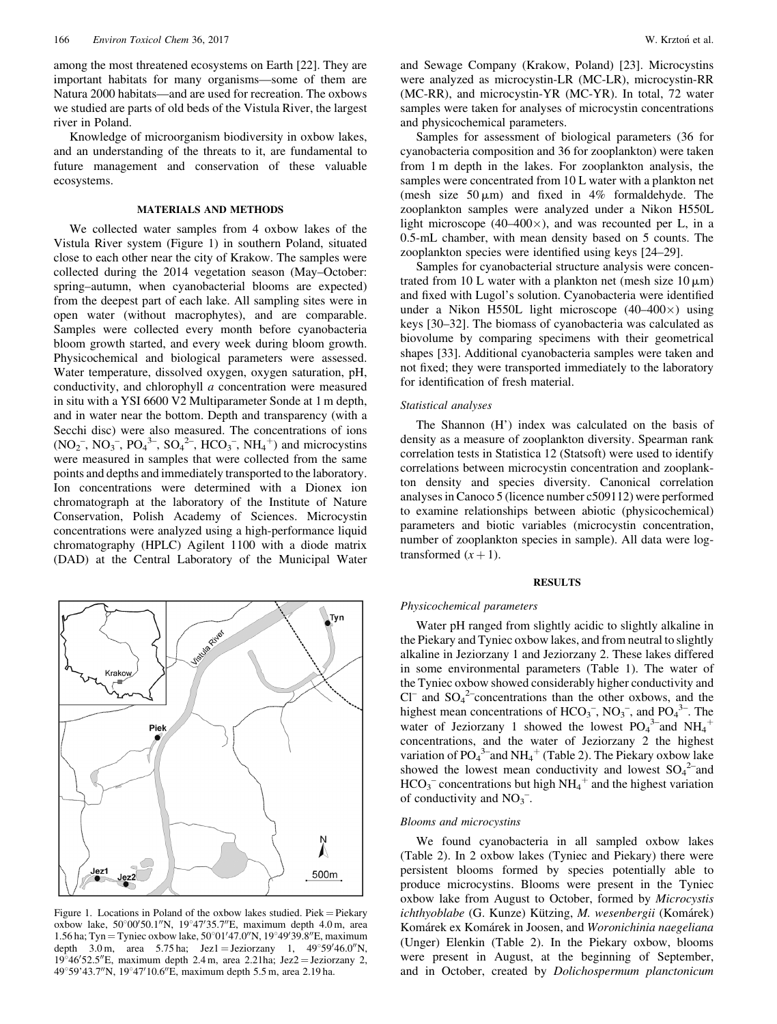among the most threatened ecosystems on Earth [22]. They are important habitats for many organisms—some of them are Natura 2000 habitats—and are used for recreation. The oxbows we studied are parts of old beds of the Vistula River, the largest river in Poland.

Knowledge of microorganism biodiversity in oxbow lakes, and an understanding of the threats to it, are fundamental to future management and conservation of these valuable ecosystems.

## MATERIALS AND METHODS

We collected water samples from 4 oxbow lakes of the Vistula River system (Figure 1) in southern Poland, situated close to each other near the city of Krakow. The samples were collected during the 2014 vegetation season (May–October: spring–autumn, when cyanobacterial blooms are expected) from the deepest part of each lake. All sampling sites were in open water (without macrophytes), and are comparable. Samples were collected every month before cyanobacteria bloom growth started, and every week during bloom growth. Physicochemical and biological parameters were assessed. Water temperature, dissolved oxygen, oxygen saturation, pH, conductivity, and chlorophyll a concentration were measured in situ with a YSI 6600 V2 Multiparameter Sonde at 1 m depth, and in water near the bottom. Depth and transparency (with a Secchi disc) were also measured. The concentrations of ions  $(NO_2^-, NO_3^-, PO_4^{3-}, SO_4^{2-}, HCO_3^-, NH_4^+)$  and microcystins were measured in samples that were collected from the same points and depths and immediately transported to the laboratory. Ion concentrations were determined with a Dionex ion chromatograph at the laboratory of the Institute of Nature Conservation, Polish Academy of Sciences. Microcystin concentrations were analyzed using a high-performance liquid chromatography (HPLC) Agilent 1100 with a diode matrix (DAD) at the Central Laboratory of the Municipal Water



Figure 1. Locations in Poland of the oxbow lakes studied. Piek = Piekary oxbow lake,  $50^{\circ}00'50.1''N$ ,  $19^{\circ}47'35.7''E$ , maximum depth 4.0 m, area 1.56 ha; Tyn = Tyniec oxbow lake,  $50^{\circ}01'47.0''$ N,  $19^{\circ}49'39.8''$ E, maximum depth 3.0 m, area 5.75 ha; Jez1 = Jeziorzany 1,  $49^{\circ}59'46.0''$ N,  $19^{\circ}46'52.5''$ E, maximum depth 2.4 m, area 2.21ha; Jez $2 =$  Jeziorzany 2, 49°59'43.7"N, 19°47'10.6"E, maximum depth 5.5 m, area 2.19 ha.

and Sewage Company (Krakow, Poland) [23]. Microcystins were analyzed as microcystin-LR (MC-LR), microcystin-RR (MC-RR), and microcystin-YR (MC-YR). In total, 72 water samples were taken for analyses of microcystin concentrations and physicochemical parameters.

Samples for assessment of biological parameters (36 for cyanobacteria composition and 36 for zooplankton) were taken from 1 m depth in the lakes. For zooplankton analysis, the samples were concentrated from 10 L water with a plankton net (mesh size  $50 \mu m$ ) and fixed in 4% formaldehyde. The zooplankton samples were analyzed under a Nikon H550L light microscope  $(40-400\times)$ , and was recounted per L, in a 0.5-mL chamber, with mean density based on 5 counts. The zooplankton species were identified using keys [24–29].

Samples for cyanobacterial structure analysis were concentrated from 10 L water with a plankton net (mesh size  $10 \mu m$ ) and fixed with Lugol's solution. Cyanobacteria were identified under a Nikon H550L light microscope  $(40-400\times)$  using keys [30–32]. The biomass of cyanobacteria was calculated as biovolume by comparing specimens with their geometrical shapes [33]. Additional cyanobacteria samples were taken and not fixed; they were transported immediately to the laboratory for identification of fresh material.

### Statistical analyses

The Shannon (H') index was calculated on the basis of density as a measure of zooplankton diversity. Spearman rank correlation tests in Statistica 12 (Statsoft) were used to identify correlations between microcystin concentration and zooplankton density and species diversity. Canonical correlation analyses in Canoco 5 (licence number c509112) were performed to examine relationships between abiotic (physicochemical) parameters and biotic variables (microcystin concentration, number of zooplankton species in sample). All data were logtransformed  $(x + 1)$ .

#### **RESULTS**

#### Physicochemical parameters

Water pH ranged from slightly acidic to slightly alkaline in the Piekary and Tyniec oxbow lakes, and from neutral to slightly alkaline in Jeziorzany 1 and Jeziorzany 2. These lakes differed in some environmental parameters (Table 1). The water of the Tyniec oxbow showed considerably higher conductivity and  $CI^-$  and  $SO_4^2$ -concentrations than the other oxbows, and the highest mean concentrations of  $HCO_3^-$ ,  $NO_3^-$ , and  $PO_4^3$ . The water of Jeziorzany 1 showed the lowest  $PO<sub>4</sub><sup>3</sup>$  and  $NH<sub>4</sub><sup>+</sup>$ concentrations, and the water of Jeziorzany 2 the highest variation of  $PO_4^3$  and  $NH_4^+$  (Table 2). The Piekary oxbow lake showed the lowest mean conductivity and lowest  $SO_4^2$  and  $HCO_3^-$  concentrations but high NH<sub>4</sub><sup>+</sup> and the highest variation of conductivity and  $NO_3^-$ .

## Blooms and microcystins

We found cyanobacteria in all sampled oxbow lakes (Table 2). In 2 oxbow lakes (Tyniec and Piekary) there were persistent blooms formed by species potentially able to produce microcystins. Blooms were present in the Tyniec oxbow lake from August to October, formed by Microcystis ichthyoblabe (G. Kunze) Kützing, M. wesenbergii (Komárek) Komárek ex Komárek in Joosen, and Woronichinia naegeliana (Unger) Elenkin (Table 2). In the Piekary oxbow, blooms were present in August, at the beginning of September, and in October, created by Dolichospermum planctonicum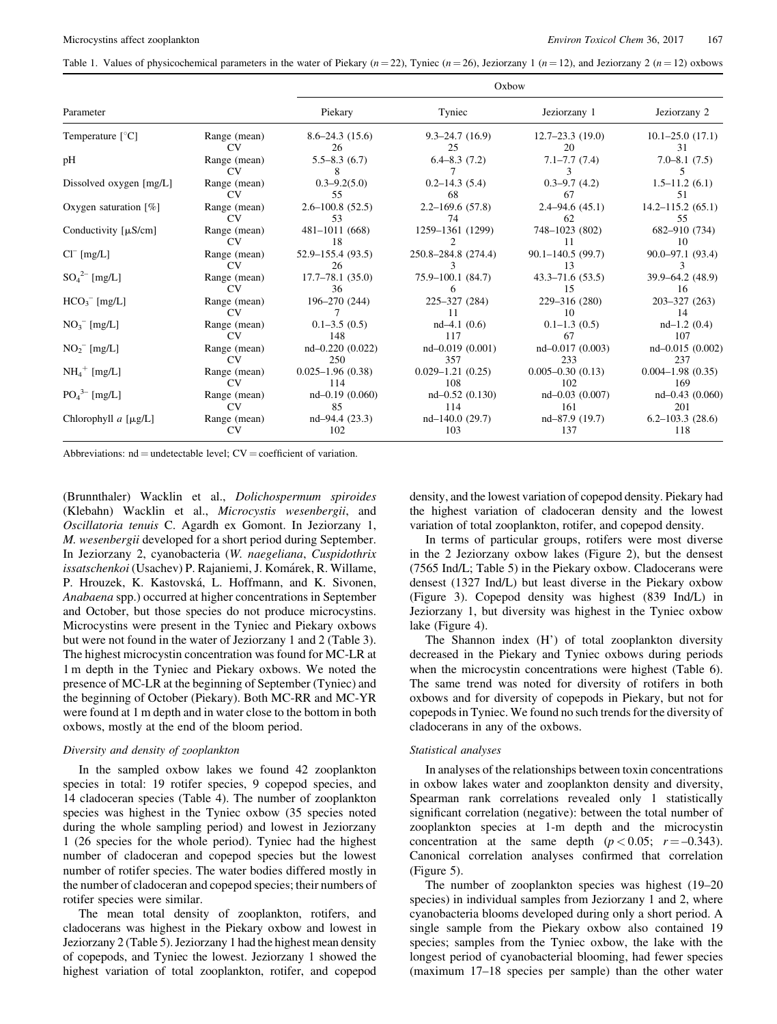Table 1. Values of physicochemical parameters in the water of Piekary ( $n = 22$ ), Tyniec ( $n = 26$ ), Jeziorzany 1 ( $n = 12$ ), and Jeziorzany 2 ( $n = 12$ ) oxbows

|                                       |                     |                            | Oxbow                  |                            |                                     |
|---------------------------------------|---------------------|----------------------------|------------------------|----------------------------|-------------------------------------|
| Parameter                             |                     | Piekary                    | Tyniec                 | Jeziorzany 1               | Jeziorzany 2                        |
| Temperature $\lceil \degree C \rceil$ | Range (mean)        | $8.6 - 24.3(15.6)$         | $9.3 - 24.7(16.9)$     | $12.7 - 23.3(19.0)$        | $10.1 - 25.0$ $(17.1)$              |
|                                       | CV                  | 26                         | 25                     | 20                         | 31                                  |
| pH                                    | Range (mean)<br>CV. | $5.5 - 8.3(6.7)$<br>8      | $6.4 - 8.3(7.2)$       | $7.1 - 7.7(7.4)$<br>3      | $7.0 - 8.1(7.5)$                    |
| Dissolved oxygen [mg/L]               | Range (mean)        | $0.3 - 9.2(5.0)$           | $0.2 - 14.3(5.4)$      | $0.3 - 9.7(4.2)$           | $1.5 - 11.2(6.1)$                   |
|                                       | CV <sub></sub>      | 55                         | 68                     | 67                         | 51                                  |
| Oxygen saturation $[\%]$              | Range (mean)        | $2.6 - 100.8(52.5)$        | $2.2 - 169.6(57.8)$    | $2.4 - 94.6(45.1)$         | $14.2 - 115.2(65.1)$                |
|                                       | CV.                 | 53                         | 74                     | 62                         | 55                                  |
| Conductivity $[\mu S/cm]$             | Range (mean)        | $481 - 1011(668)$          | 1259-1361 (1299)       | 748-1023 (802)             | 682–910 (734)                       |
|                                       | CV                  | 18                         | 2                      | 11                         | 10                                  |
| $Cl^{-}$ [mg/L]                       | Range (mean)<br>CV  | $52.9 - 155.4(93.5)$<br>26 | 250.8-284.8 (274.4)    | $90.1 - 140.5(99.7)$<br>13 | $90.0 - 97.1(93.4)$<br>$\mathbf{3}$ |
| $SO_4^{2-}$ [mg/L]                    | Range (mean)        | $17.7 - 78.1(35.0)$        | $75.9 - 100.1$ (84.7)  | $43.3 - 71.6(53.5)$        | $39.9 - 64.2(48.9)$                 |
|                                       | <b>CV</b>           | 36                         | 6                      | 15                         | 16                                  |
| $HCO3-$ [mg/L]                        | Range (mean)<br>CV  | $196 - 270(244)$           | $225 - 327(284)$<br>11 | 229-316 (280)<br>10        | $203 - 327(263)$<br>14              |
| $NO_3^-$ [mg/L]                       | Range (mean)        | $0.1 - 3.5(0.5)$           | $nd-4.1(0.6)$          | $0.1 - 1.3(0.5)$           | $nd-1.2(0.4)$                       |
|                                       | CV                  | 148                        | 117                    | 67                         | 107                                 |
| $NO_2^-$ [mg/L]                       | Range (mean)        | $nd-0.220(0.022)$          | $nd - 0.019(0.001)$    | $nd - 0.017(0.003)$        | nd-0.015 (0.002)                    |
|                                       | CV <sub></sub>      | 250                        | 357                    | 233                        | 237                                 |
| $NH_4^+$ [mg/L]                       | Range (mean)        | $0.025 - 1.96(0.38)$       | $0.029 - 1.21(0.25)$   | $0.005 - 0.30(0.13)$       | $0.004 - 1.98(0.35)$                |
|                                       | CV                  | 114                        | 108                    | 102                        | 169                                 |
| $PO_4^{3-}$ [mg/L]                    | Range (mean)        | $nd-0.19(0.060)$           | $nd-0.52(0.130)$       | $nd-0.03(0.007)$           | $nd-0.43(0.060)$                    |
|                                       | CV <sub></sub>      | 85                         | 114                    | 161                        | 201                                 |
| Chlorophyll $a \mu g/L$ ]             | Range (mean)        | $nd-94.4(23.3)$            | $nd-140.0(29.7)$       | nd-87.9 (19.7)             | $6.2 - 103.3(28.6)$                 |
|                                       | CV.                 | 102                        | 103                    | 137                        | 118                                 |

Abbreviations:  $nd =$  undetectable level;  $CV =$  coefficient of variation.

(Brunnthaler) Wacklin et al., Dolichospermum spiroides (Klebahn) Wacklin et al., Microcystis wesenbergii, and Oscillatoria tenuis C. Agardh ex Gomont. In Jeziorzany 1, M. wesenbergii developed for a short period during September. In Jeziorzany 2, cyanobacteria (W. naegeliana, Cuspidothrix issatschenkoi (Usachev) P. Rajaniemi, J. Komárek, R. Willame, P. Hrouzek, K. Kastovska, L. Hoffmann, and K. Sivonen, Anabaena spp.) occurred at higher concentrations in September and October, but those species do not produce microcystins. Microcystins were present in the Tyniec and Piekary oxbows but were not found in the water of Jeziorzany 1 and 2 (Table 3). The highest microcystin concentration was found for MC-LR at 1 m depth in the Tyniec and Piekary oxbows. We noted the presence of MC-LR at the beginning of September (Tyniec) and the beginning of October (Piekary). Both MC-RR and MC-YR were found at 1 m depth and in water close to the bottom in both oxbows, mostly at the end of the bloom period.

## Diversity and density of zooplankton

In the sampled oxbow lakes we found 42 zooplankton species in total: 19 rotifer species, 9 copepod species, and 14 cladoceran species (Table 4). The number of zooplankton species was highest in the Tyniec oxbow (35 species noted during the whole sampling period) and lowest in Jeziorzany 1 (26 species for the whole period). Tyniec had the highest number of cladoceran and copepod species but the lowest number of rotifer species. The water bodies differed mostly in the number of cladoceran and copepod species; their numbers of rotifer species were similar.

The mean total density of zooplankton, rotifers, and cladocerans was highest in the Piekary oxbow and lowest in Jeziorzany 2 (Table 5). Jeziorzany 1 had the highest mean density of copepods, and Tyniec the lowest. Jeziorzany 1 showed the highest variation of total zooplankton, rotifer, and copepod

density, and the lowest variation of copepod density. Piekary had the highest variation of cladoceran density and the lowest variation of total zooplankton, rotifer, and copepod density.

In terms of particular groups, rotifers were most diverse in the 2 Jeziorzany oxbow lakes (Figure 2), but the densest (7565 Ind/L; Table 5) in the Piekary oxbow. Cladocerans were densest (1327 Ind/L) but least diverse in the Piekary oxbow (Figure 3). Copepod density was highest (839 Ind/L) in Jeziorzany 1, but diversity was highest in the Tyniec oxbow lake (Figure 4).

The Shannon index (H') of total zooplankton diversity decreased in the Piekary and Tyniec oxbows during periods when the microcystin concentrations were highest (Table 6). The same trend was noted for diversity of rotifers in both oxbows and for diversity of copepods in Piekary, but not for copepods in Tyniec. We found no such trends for the diversity of cladocerans in any of the oxbows.

### Statistical analyses

In analyses of the relationships between toxin concentrations in oxbow lakes water and zooplankton density and diversity, Spearman rank correlations revealed only 1 statistically significant correlation (negative): between the total number of zooplankton species at 1-m depth and the microcystin concentration at the same depth  $(p < 0.05; r = -0.343)$ . Canonical correlation analyses confirmed that correlation (Figure 5).

The number of zooplankton species was highest (19–20 species) in individual samples from Jeziorzany 1 and 2, where cyanobacteria blooms developed during only a short period. A single sample from the Piekary oxbow also contained 19 species; samples from the Tyniec oxbow, the lake with the longest period of cyanobacterial blooming, had fewer species (maximum 17–18 species per sample) than the other water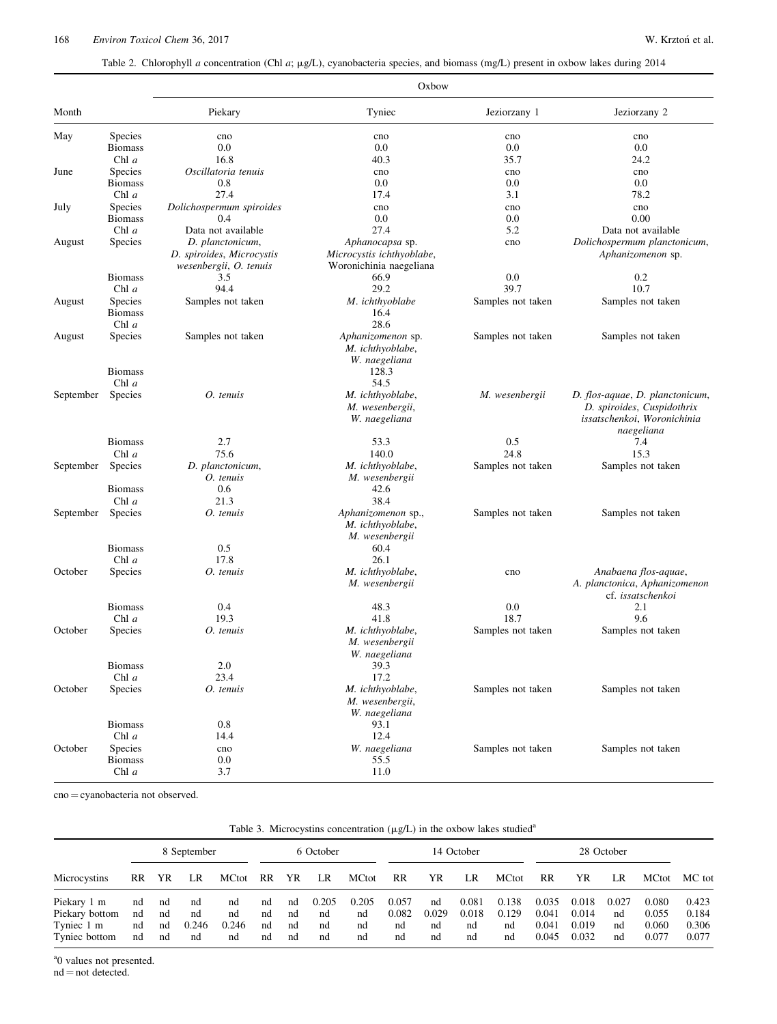Table 2. Chlorophyll a concentration (Chl a; µg/L), cyanobacteria species, and biomass (mg/L) present in oxbow lakes during 2014

|           |                                  |                                                                         | Oxbow                                                                   |                   |                                                                                                            |
|-----------|----------------------------------|-------------------------------------------------------------------------|-------------------------------------------------------------------------|-------------------|------------------------------------------------------------------------------------------------------------|
| Month     |                                  | Piekary                                                                 | Tyniec                                                                  | Jeziorzany 1      | Jeziorzany 2                                                                                               |
| May       | <b>Species</b><br><b>Biomass</b> | cno<br>0.0                                                              | cno<br>0.0                                                              | cno<br>0.0        | cno<br>0.0                                                                                                 |
|           | Chl $a$                          | 16.8                                                                    | 40.3                                                                    | 35.7              | 24.2                                                                                                       |
| June      | Species                          | Oscillatoria tenuis                                                     | cno                                                                     | cno               | cno                                                                                                        |
|           | <b>Biomass</b>                   | 0.8                                                                     | 0.0                                                                     | 0.0               | 0.0                                                                                                        |
|           | Chl $a$                          | 27.4                                                                    | 17.4                                                                    | 3.1               | 78.2                                                                                                       |
| July      | Species                          | Dolichospermum spiroides                                                | cno                                                                     | cno               | cno                                                                                                        |
|           | <b>Biomass</b>                   | 0.4                                                                     | 0.0                                                                     | 0.0               | 0.00                                                                                                       |
|           | Chl $a$                          | Data not available                                                      | 27.4                                                                    | 5.2               | Data not available                                                                                         |
| August    | Species                          | D. planctonicum,<br>D. spiroides, Microcystis<br>wesenbergii, O. tenuis | Aphanocapsa sp.<br>Microcystis ichthyoblabe,<br>Woronichinia naegeliana | cno               | Dolichospermum planctonicum,<br>Aphanizomenon sp.                                                          |
|           | <b>Biomass</b>                   | 3.5                                                                     | 66.9                                                                    | 0.0               | 0.2                                                                                                        |
|           | Chl $a$                          | 94.4                                                                    | 29.2                                                                    | 39.7              | 10.7                                                                                                       |
| August    | Species                          | Samples not taken                                                       | M. ichthyoblabe                                                         | Samples not taken | Samples not taken                                                                                          |
|           | <b>Biomass</b>                   |                                                                         | 16.4                                                                    |                   |                                                                                                            |
|           | Chl $a$                          |                                                                         | 28.6                                                                    |                   |                                                                                                            |
| August    | <b>Species</b><br><b>Biomass</b> | Samples not taken                                                       | Aphanizomenon sp.<br>M. ichthyoblabe,<br>W. naegeliana<br>128.3         | Samples not taken | Samples not taken                                                                                          |
|           | Chl $a$                          |                                                                         | 54.5                                                                    |                   |                                                                                                            |
| September | Species                          | O. tenuis                                                               | M. ichthyoblabe,<br>M. wesenbergii,<br>W. naegeliana                    | M. wesenbergii    | D. flos-aquae, D. planctonicum,<br>D. spiroides, Cuspidothrix<br>issatschenkoi, Woronichinia<br>naegeliana |
|           | <b>Biomass</b>                   | 2.7                                                                     | 53.3                                                                    | 0.5               | 7.4                                                                                                        |
|           | Chl $a$                          | 75.6                                                                    | 140.0                                                                   | 24.8              | 15.3                                                                                                       |
| September | <b>Species</b>                   | D. planctonicum,<br>O. tenuis                                           | M. ichthyoblabe,<br>M. wesenbergii                                      | Samples not taken | Samples not taken                                                                                          |
|           | <b>Biomass</b>                   | 0.6                                                                     | 42.6                                                                    |                   |                                                                                                            |
|           | Chl $a$                          | 21.3                                                                    | 38.4                                                                    |                   |                                                                                                            |
| September | Species                          | O. tenuis                                                               | Aphanizomenon sp.,<br>M. ichthyoblabe,<br>M. wesenbergii                | Samples not taken | Samples not taken                                                                                          |
|           | <b>Biomass</b>                   | 0.5                                                                     | 60.4                                                                    |                   |                                                                                                            |
|           | Chl $a$                          | 17.8                                                                    | 26.1                                                                    |                   |                                                                                                            |
| October   | Species                          | O. tenuis                                                               | M. ichthyoblabe,<br>M. wesenbergii                                      | cno               | Anabaena flos-aquae,<br>A. planctonica, Aphanizomenon<br>cf. issatschenkoi                                 |
|           | <b>Biomass</b>                   | 0.4                                                                     | 48.3                                                                    | 0.0               | 2.1                                                                                                        |
|           | Chl $a$                          | 19.3                                                                    | 41.8                                                                    | 18.7              | 9.6                                                                                                        |
| October   | Species                          | O. tenuis                                                               | M. ichthyoblabe,<br>M. wesenbergii<br>W. naegeliana                     | Samples not taken | Samples not taken                                                                                          |
|           | <b>Biomass</b>                   | 2.0                                                                     | 39.3                                                                    |                   |                                                                                                            |
|           | Chl $a$                          | 23.4                                                                    | 17.2                                                                    |                   |                                                                                                            |
| October   | Species                          | O. tenuis                                                               | M. ichthyoblabe,<br>M. wesenbergii,<br>W. naegeliana                    | Samples not taken | Samples not taken                                                                                          |
|           | <b>Biomass</b>                   | 0.8                                                                     | 93.1                                                                    |                   |                                                                                                            |
|           | Chl $a$                          | 14.4                                                                    | 12.4                                                                    |                   |                                                                                                            |
| October   | Species                          | cno                                                                     | W. naegeliana                                                           | Samples not taken | Samples not taken                                                                                          |
|           | <b>Biomass</b><br>Chl a          | $0.0\,$<br>3.7                                                          | 55.5<br>11.0                                                            |                   |                                                                                                            |

 $\text{cno} = \text{cyanobacteria not observed.}$ 

|  |  |  |  |  | Table 3. Microcystins concentration $(\mu g/L)$ in the oxbow lakes studied <sup>a</sup> |
|--|--|--|--|--|-----------------------------------------------------------------------------------------|
|--|--|--|--|--|-----------------------------------------------------------------------------------------|

|                                                              |                      |                      | 8 September             |                         |                      |                      | 6 October               |                         |                            |                         | 14 October                 |                            |                                  |                                  | 28 October              |                                  |                                  |
|--------------------------------------------------------------|----------------------|----------------------|-------------------------|-------------------------|----------------------|----------------------|-------------------------|-------------------------|----------------------------|-------------------------|----------------------------|----------------------------|----------------------------------|----------------------------------|-------------------------|----------------------------------|----------------------------------|
| Microcystins                                                 | RR.                  | YR                   | LR                      | MCtot                   | RR                   | YR                   | LR                      | <b>MCtot</b>            | RR                         | YR                      | LR                         | <b>MCtot</b>               | RR                               | YR                               | LR                      | MCtot                            | MC tot                           |
| Piekary 1 m<br>Piekary bottom<br>Tyniec 1 m<br>Tyniec bottom | nd<br>nd<br>nd<br>nd | nd<br>nd<br>nd<br>nd | nd<br>nd<br>0.246<br>nd | nd<br>nd<br>0.246<br>nd | nd<br>nd<br>nd<br>nd | nd<br>nd<br>nd<br>nd | 0.205<br>nd<br>nd<br>nd | 0.205<br>nd<br>nd<br>nd | 0.057<br>0.082<br>nd<br>nd | nd<br>0.029<br>nd<br>nd | 0.081<br>0.018<br>nd<br>nd | 0.138<br>0.129<br>nd<br>nd | 0.035<br>0.041<br>0.041<br>0.045 | 0.018<br>0.014<br>0.019<br>0.032 | 0.027<br>nd<br>nd<br>nd | 0.080<br>0.055<br>0.060<br>0.077 | 0.423<br>0.184<br>0.306<br>0.077 |

<sup>a</sup>0 values not presented.

 $nd = not detected.$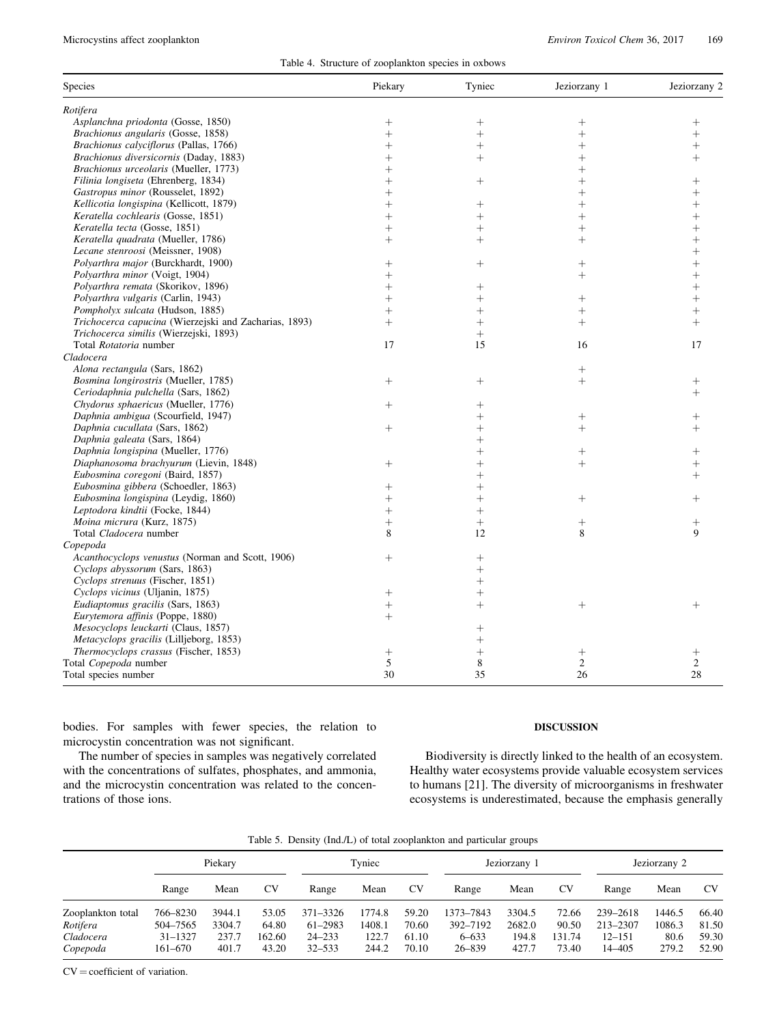|  | Table 4. Structure of zooplankton species in oxbows |  |  |
|--|-----------------------------------------------------|--|--|
|  |                                                     |  |  |

| Species                                               | Piekary            | Tyniec             | Jeziorzany 1   | Jeziorzany 2   |
|-------------------------------------------------------|--------------------|--------------------|----------------|----------------|
| Rotifera                                              |                    |                    |                |                |
| Asplanchna priodonta (Gosse, 1850)                    | $^{+}$             | $^{+}$             | $^{+}$         | $^{+}$         |
| Brachionus angularis (Gosse, 1858)                    | $^{+}$             | $\ddot{}$          | $\ddot{}$      | $\ddot{}$      |
| Brachionus calyciflorus (Pallas, 1766)                | $^{+}$             | $^{+}$             | $\ddag$        | $\overline{+}$ |
| Brachionus diversicornis (Daday, 1883)                | $^{+}$             | $^{+}$             |                | $\overline{+}$ |
| Brachionus urceolaris (Mueller, 1773)                 | $^{+}$             |                    |                |                |
|                                                       |                    |                    |                |                |
| Filinia longiseta (Ehrenberg, 1834)                   | $^{+}$             | $^{+}$             | $\ddag$        | $\overline{+}$ |
| Gastropus minor (Rousselet, 1892)                     | $^{+}$             |                    | $\overline{+}$ |                |
| Kellicotia longispina (Kellicott, 1879)               | $^{+}$             | $\hspace{0.1mm} +$ | $^{+}$         |                |
| Keratella cochlearis (Gosse, 1851)                    | $^{+}$             | $^{+}$             | $^{+}$         | $^{+}$         |
| Keratella tecta (Gosse, 1851)                         | $^{+}$             | $^{+}$             | $\ddot{}$      | $^{+}$         |
| Keratella quadrata (Mueller, 1786)                    | $^{+}$             | $^{+}$             | $^{+}$         | $^{+}$         |
| Lecane stenroosi (Meissner, 1908)                     |                    |                    |                |                |
| Polyarthra major (Burckhardt, 1900)                   | $^{+}$             | $^{+}$             | $^{+}$         | $^{+}$         |
| Polyarthra minor (Voigt, 1904)                        | $\ddot{}$          |                    | $+$            | $\ddag$        |
| Polyarthra remata (Skorikov, 1896)                    | $^{+}$             | $\hspace{0.1mm} +$ |                | $^{+}$         |
| Polyarthra vulgaris (Carlin, 1943)                    | $^{+}$             | $^{+}$             | $^{+}$         | $^{+}$         |
| Pompholyx sulcata (Hudson, 1885)                      | $\ddot{}$          | $\overline{+}$     | $^{+}$         | $^{+}$         |
| Trichocerca capucina (Wierzejski and Zacharias, 1893) | $^{+}$             | $^{+}$             | $^{+}$         | $^{+}$         |
| Trichocerca similis (Wierzejski, 1893)                |                    | $^{+}$             |                |                |
| Total Rotatoria number                                | 17                 | 15                 | 16             | 17             |
| Cladocera                                             |                    |                    |                |                |
| Alona rectangula (Sars, 1862)                         |                    |                    | $^{+}$         |                |
| Bosmina longirostris (Mueller, 1785)                  | $^{+}$             | $^{+}$             | $^{+}$         | $^{+}$         |
| Ceriodaphnia pulchella (Sars, 1862)                   |                    |                    |                | $^{+}$         |
| Chydorus sphaericus (Mueller, 1776)                   | $^{+}$             | $^{+}$             |                |                |
| Daphnia ambigua (Scourfield, 1947)                    |                    |                    | $^{+}$         |                |
| Daphnia cucullata (Sars, 1862)                        | $^{+}$             | $^{+}$             | $^{+}$         | $^{+}$         |
| Daphnia galeata (Sars, 1864)                          |                    | $^{+}$             |                |                |
|                                                       |                    | $\ddot{}$          |                |                |
| Daphnia longispina (Mueller, 1776)                    |                    |                    | $^{+}$         | $^{+}$         |
| Diaphanosoma brachyurum (Lievin, 1848)                | $\hspace{0.1mm} +$ | $^{+}$             | $^{+}$         |                |
| Eubosmina coregoni (Baird, 1857)                      |                    | $^{+}$             |                | $^{+}$         |
| Eubosmina gibbera (Schoedler, 1863)                   | $^{+}$             | $^{+}$             |                |                |
| Eubosmina longispina (Leydig, 1860)                   | $^{+}$             | $^{+}$             | $^{+}$         | $^{+}$         |
| Leptodora kindtii (Focke, 1844)                       | $^{+}$             | $^{+}$             |                |                |
| Moina micrura (Kurz, 1875)                            | $^{+}$             | $^{+}$             | $^{+}$         | $^{+}$         |
| Total Cladocera number                                | 8                  | 12                 | 8              | 9              |
| Copepoda                                              |                    |                    |                |                |
| Acanthocyclops venustus (Norman and Scott, 1906)      | $^{+}$             | $\overline{+}$     |                |                |
| Cyclops abyssorum (Sars, 1863)                        |                    | $^{+}$             |                |                |
| Cyclops strenuus (Fischer, 1851)                      |                    | $\ddag$            |                |                |
| Cyclops vicinus (Uljanin, 1875)                       | $^{+}$             | $^{+}$             |                |                |
| Eudiaptomus gracilis (Sars, 1863)                     | $^{+}$             | $^{+}$             | $^{+}$         | $^{+}$         |
| Eurytemora affinis (Poppe, 1880)                      | $^{+}$             |                    |                |                |
| Mesocyclops leuckarti (Claus, 1857)                   |                    | $\overline{+}$     |                |                |
| Metacyclops gracilis (Lilljeborg, 1853)               |                    | $^{+}$             |                |                |
| Thermocyclops crassus (Fischer, 1853)                 | $^{+}$             | $^{+}$             | $^{+}$         | $^+$           |
| Total Copepoda number                                 | 5                  | 8                  | $\overline{2}$ | $\mathfrak{2}$ |
| Total species number                                  | 30                 | 35                 | 26             | 28             |
|                                                       |                    |                    |                |                |

bodies. For samples with fewer species, the relation to microcystin concentration was not significant.

The number of species in samples was negatively correlated with the concentrations of sulfates, phosphates, and ammonia, and the microcystin concentration was related to the concentrations of those ions.

# DISCUSSION

Biodiversity is directly linked to the health of an ecosystem. Healthy water ecosystems provide valuable ecosystem services to humans [21]. The diversity of microorganisms in freshwater ecosystems is underestimated, because the emphasis generally

| Table 5. Density (Ind./L) of total zooplankton and particular groups |  |  |  |
|----------------------------------------------------------------------|--|--|--|
|----------------------------------------------------------------------|--|--|--|

|                                   | Piekary                            |                          |                          | Tyniec                              |                          |                         | Jeziorzany 1                        |                          |                          | Jeziorzany 2                     |                         |                         |
|-----------------------------------|------------------------------------|--------------------------|--------------------------|-------------------------------------|--------------------------|-------------------------|-------------------------------------|--------------------------|--------------------------|----------------------------------|-------------------------|-------------------------|
|                                   | Range                              | Mean                     | CV                       | Range                               | Mean                     | CV                      | Range                               | Mean                     | CV                       | Range                            | Mean                    | <b>CV</b>               |
| Zooplankton total                 | 766-8230                           | 3944.1                   | 53.05                    | 371-3326                            | 1774.8                   | 59.20                   | 1373-7843                           | 3304.5                   | 72.66                    | 239-2618                         | 1446.5                  | 66.40                   |
| Rotifera<br>Cladocera<br>Copepoda | 504-7565<br>$31 - 1327$<br>161–670 | 3304.7<br>237.7<br>401.7 | 64.80<br>162.60<br>43.20 | 61-2983<br>$24 - 233$<br>$32 - 533$ | 1408.1<br>122.7<br>244.2 | 70.60<br>61.10<br>70.10 | 392-7192<br>$6 - 633$<br>$26 - 839$ | 2682.0<br>194.8<br>427.7 | 90.50<br>131.74<br>73.40 | 213-2307<br>$12 - 151$<br>14-405 | 1086.3<br>80.6<br>279.2 | 81.50<br>59.30<br>52.90 |

 $CV = coefficient of variation.$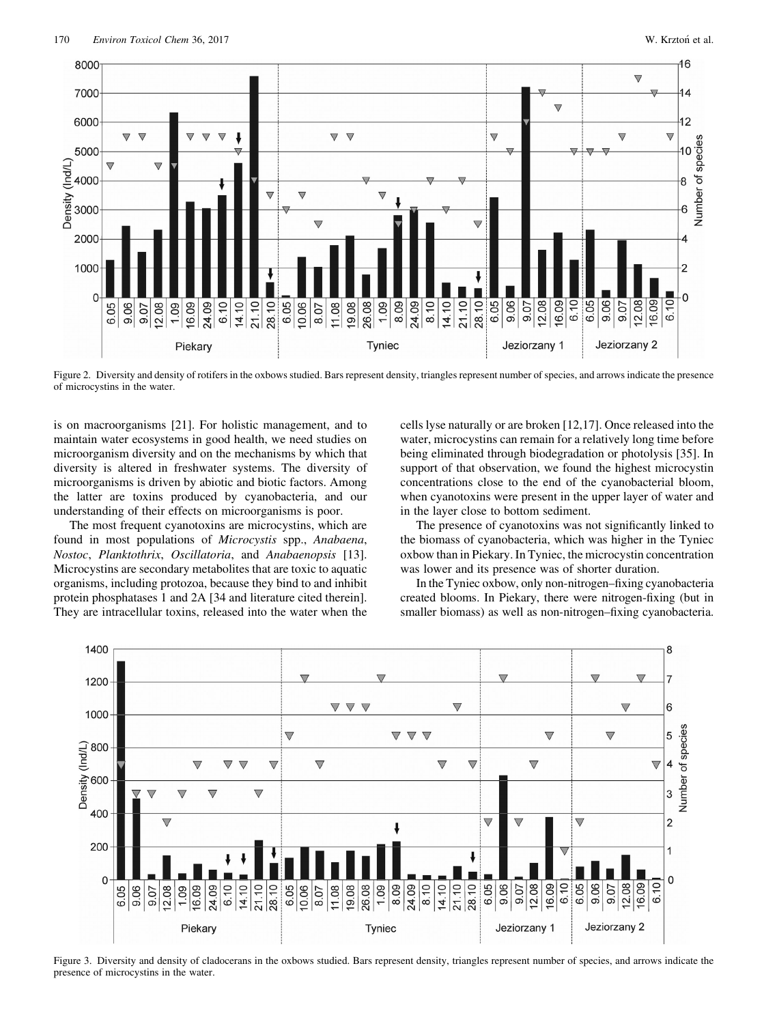

Figure 2. Diversity and density of rotifers in the oxbows studied. Bars represent density, triangles represent number of species, and arrows indicate the presence of microcystins in the water.

is on macroorganisms [21]. For holistic management, and to maintain water ecosystems in good health, we need studies on microorganism diversity and on the mechanisms by which that diversity is altered in freshwater systems. The diversity of microorganisms is driven by abiotic and biotic factors. Among the latter are toxins produced by cyanobacteria, and our understanding of their effects on microorganisms is poor.

The most frequent cyanotoxins are microcystins, which are found in most populations of Microcystis spp., Anabaena, Nostoc, Planktothrix, Oscillatoria, and Anabaenopsis [13]. Microcystins are secondary metabolites that are toxic to aquatic organisms, including protozoa, because they bind to and inhibit protein phosphatases 1 and 2A [34 and literature cited therein]. They are intracellular toxins, released into the water when the

cells lyse naturally or are broken [12,17]. Once released into the water, microcystins can remain for a relatively long time before being eliminated through biodegradation or photolysis [35]. In support of that observation, we found the highest microcystin concentrations close to the end of the cyanobacterial bloom, when cyanotoxins were present in the upper layer of water and in the layer close to bottom sediment.

The presence of cyanotoxins was not significantly linked to the biomass of cyanobacteria, which was higher in the Tyniec oxbow than in Piekary. In Tyniec, the microcystin concentration was lower and its presence was of shorter duration.

In the Tyniec oxbow, only non-nitrogen–fixing cyanobacteria created blooms. In Piekary, there were nitrogen-fixing (but in smaller biomass) as well as non-nitrogen–fixing cyanobacteria.



Figure 3. Diversity and density of cladocerans in the oxbows studied. Bars represent density, triangles represent number of species, and arrows indicate the presence of microcystins in the water.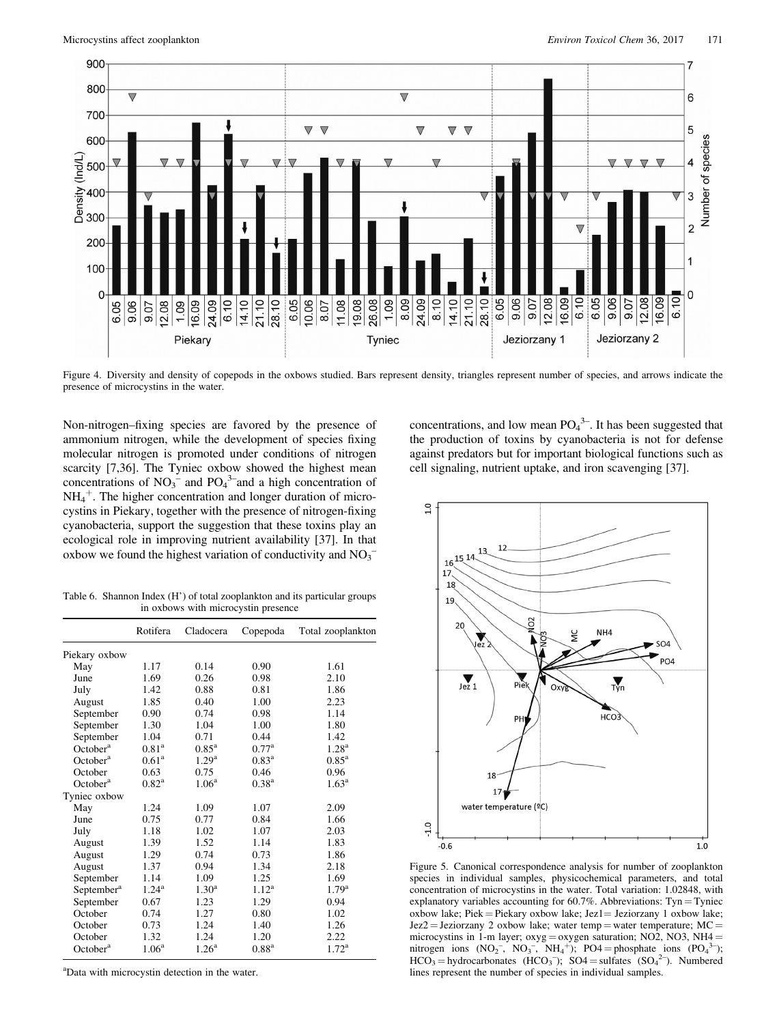

Figure 4. Diversity and density of copepods in the oxbows studied. Bars represent density, triangles represent number of species, and arrows indicate the presence of microcystins in the water.

Non-nitrogen–fixing species are favored by the presence of ammonium nitrogen, while the development of species fixing molecular nitrogen is promoted under conditions of nitrogen scarcity [7,36]. The Tyniec oxbow showed the highest mean concentrations of  $NO_3$ <sup>-</sup> and  $PO_4$ <sup>3-</sup>and a high concentration of  $NH_4^+$ . The higher concentration and longer duration of microcystins in Piekary, together with the presence of nitrogen-fixing cyanobacteria, support the suggestion that these toxins play an ecological role in improving nutrient availability [37]. In that oxbow we found the highest variation of conductivity and  $NO_3^-$ 

Table 6. Shannon Index (H') of total zooplankton and its particular groups in oxbows with microcystin presence

|                        | Rotifera          | Cladocera         | Copepoda          | Total zooplankton   |
|------------------------|-------------------|-------------------|-------------------|---------------------|
| Piekary oxbow          |                   |                   |                   |                     |
| May                    | 1.17              | 0.14              | 0.90              | 1.61                |
| June                   | 1.69              | 0.26              | 0.98              | 2.10                |
| July                   | 1.42              | 0.88              | 0.81              | 1.86                |
| August                 | 1.85              | 0.40              | 1.00              | 2.23                |
| September              | 0.90              | 0.74              | 0.98              | 1.14                |
| September              | 1.30              | 1.04              | 1.00              | 1.80                |
| September              | 1.04              | 0.71              | 0.44              | 1.42                |
| October <sup>a</sup>   | 0.81 <sup>a</sup> | $0.85^{\rm a}$    | 0.77 <sup>a</sup> | 1.28 <sup>a</sup>   |
| October <sup>a</sup>   | 0.61 <sup>a</sup> | 1.29 <sup>a</sup> | $0.83^{\rm a}$    | $0.85$ <sup>a</sup> |
| October                | 0.63              | 0.75              | 0.46              | 0.96                |
| October <sup>a</sup>   | $0.82^{\rm a}$    | 1.06 <sup>a</sup> | 0.38 <sup>a</sup> | $1.63^{\rm a}$      |
| Tyniec oxbow           |                   |                   |                   |                     |
| May                    | 1.24              | 1.09              | 1.07              | 2.09                |
| June                   | 0.75              | 0.77              | 0.84              | 1.66                |
| July                   | 1.18              | 1.02              | 1.07              | 2.03                |
| August                 | 1.39              | 1.52              | 1.14              | 1.83                |
| August                 | 1.29              | 0.74              | 0.73              | 1.86                |
| August                 | 1.37              | 0.94              | 1.34              | 2.18                |
| September              | 1.14              | 1.09              | 1.25              | 1.69                |
| September <sup>a</sup> | $1.24^{\rm a}$    | $1.30^{\rm a}$    | $1.12^a$          | 1.79 <sup>a</sup>   |
| September              | 0.67              | 1.23              | 1.29              | 0.94                |
| October                | 0.74              | 1.27              | 0.80              | 1.02                |
| October                | 0.73              | 1.24              | 1.40              | 1.26                |
| October                | 1.32              | 1.24              | 1.20              | 2.22                |
| October <sup>a</sup>   | 1.06 <sup>a</sup> | 1.26 <sup>a</sup> | $0.88^{a}$        | $1.72^{\rm a}$      |

<sup>a</sup>Data with microcystin detection in the water.

concentrations, and low mean  $PO_4^{3-}$ . It has been suggested that the production of toxins by cyanobacteria is not for defense against predators but for important biological functions such as cell signaling, nutrient uptake, and iron scavenging [37].



Figure 5. Canonical correspondence analysis for number of zooplankton species in individual samples, physicochemical parameters, and total concentration of microcystins in the water. Total variation: 1.02848, with explanatory variables accounting for  $60.7\%$ . Abbreviations: Tyn = Tyniec oxbow lake; Piek = Piekary oxbow lake; Jez $1$  = Jeziorzany 1 oxbow lake;  $Jez2 = Jeziorzany 2$  oxbow lake; water temp = water temperature; MC = microcystins in 1-m layer; oxyg = oxygen saturation; NO2, NO3, NH4 = nitrogen ions  $(NO_2^-$ ,  $NO_3^-$ ,  $NH_4^+$ ); PO4 = phosphate ions  $(PO_4$  $3-$ ;  $HCO<sub>3</sub> = hydrocarbonates (HCO<sub>3</sub>); SO4 = suffixes (SO<sub>4</sub><sup>2</sup>). Numbered$ lines represent the number of species in individual samples.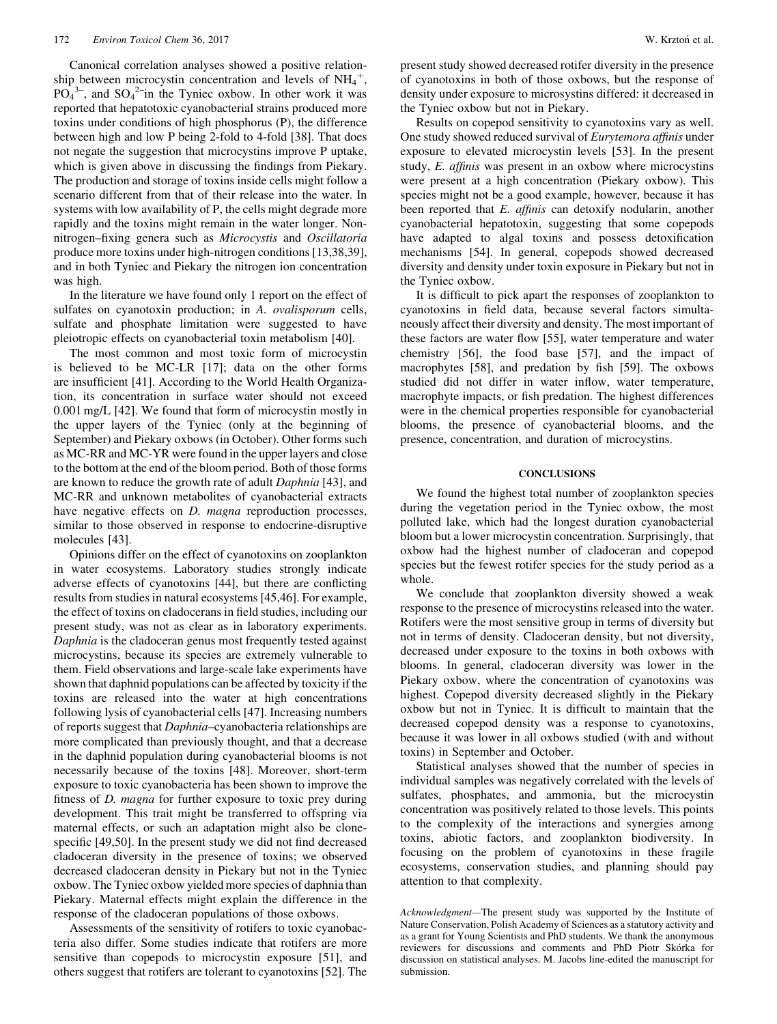Canonical correlation analyses showed a positive relationship between microcystin concentration and levels of  $NH_4^+$ ,  $PO<sub>4</sub><sup>3-</sup>$ , and  $SO<sub>4</sub><sup>2-</sup>$  in the Tyniec oxbow. In other work it was reported that hepatotoxic cyanobacterial strains produced more toxins under conditions of high phosphorus (P), the difference between high and low P being 2-fold to 4-fold [38]. That does not negate the suggestion that microcystins improve P uptake, which is given above in discussing the findings from Piekary. The production and storage of toxins inside cells might follow a scenario different from that of their release into the water. In systems with low availability of P, the cells might degrade more rapidly and the toxins might remain in the water longer. Nonnitrogen–fixing genera such as Microcystis and Oscillatoria produce more toxins under high-nitrogen conditions [13,38,39], and in both Tyniec and Piekary the nitrogen ion concentration was high.

In the literature we have found only 1 report on the effect of sulfates on cyanotoxin production; in A. *ovalisporum* cells, sulfate and phosphate limitation were suggested to have pleiotropic effects on cyanobacterial toxin metabolism [40].

The most common and most toxic form of microcystin is believed to be MC-LR [17]; data on the other forms are insufficient [41]. According to the World Health Organization, its concentration in surface water should not exceed 0.001 mg/L [42]. We found that form of microcystin mostly in the upper layers of the Tyniec (only at the beginning of September) and Piekary oxbows (in October). Other forms such as MC-RR and MC-YR were found in the upper layers and close to the bottom at the end of the bloom period. Both of those forms are known to reduce the growth rate of adult Daphnia [43], and MC-RR and unknown metabolites of cyanobacterial extracts have negative effects on *D. magna* reproduction processes, similar to those observed in response to endocrine-disruptive molecules [43].

Opinions differ on the effect of cyanotoxins on zooplankton in water ecosystems. Laboratory studies strongly indicate adverse effects of cyanotoxins [44], but there are conflicting results from studies in natural ecosystems [45,46]. For example, the effect of toxins on cladocerans in field studies, including our present study, was not as clear as in laboratory experiments. Daphnia is the cladoceran genus most frequently tested against microcystins, because its species are extremely vulnerable to them. Field observations and large-scale lake experiments have shown that daphnid populations can be affected by toxicity if the toxins are released into the water at high concentrations following lysis of cyanobacterial cells [47]. Increasing numbers of reports suggest that Daphnia–cyanobacteria relationships are more complicated than previously thought, and that a decrease in the daphnid population during cyanobacterial blooms is not necessarily because of the toxins [48]. Moreover, short-term exposure to toxic cyanobacteria has been shown to improve the fitness of *D. magna* for further exposure to toxic prey during development. This trait might be transferred to offspring via maternal effects, or such an adaptation might also be clonespecific [49,50]. In the present study we did not find decreased cladoceran diversity in the presence of toxins; we observed decreased cladoceran density in Piekary but not in the Tyniec oxbow. The Tyniec oxbow yielded more species of daphnia than Piekary. Maternal effects might explain the difference in the response of the cladoceran populations of those oxbows.

Assessments of the sensitivity of rotifers to toxic cyanobacteria also differ. Some studies indicate that rotifers are more sensitive than copepods to microcystin exposure [51], and others suggest that rotifers are tolerant to cyanotoxins [52]. The

present study showed decreased rotifer diversity in the presence of cyanotoxins in both of those oxbows, but the response of density under exposure to microsystins differed: it decreased in the Tyniec oxbow but not in Piekary.

Results on copepod sensitivity to cyanotoxins vary as well. One study showed reduced survival of Eurytemora affinis under exposure to elevated microcystin levels [53]. In the present study, E. affinis was present in an oxbow where microcystins were present at a high concentration (Piekary oxbow). This species might not be a good example, however, because it has been reported that E. affinis can detoxify nodularin, another cyanobacterial hepatotoxin, suggesting that some copepods have adapted to algal toxins and possess detoxification mechanisms [54]. In general, copepods showed decreased diversity and density under toxin exposure in Piekary but not in the Tyniec oxbow.

It is difficult to pick apart the responses of zooplankton to cyanotoxins in field data, because several factors simultaneously affect their diversity and density. The most important of these factors are water flow [55], water temperature and water chemistry [56], the food base [57], and the impact of macrophytes [58], and predation by fish [59]. The oxbows studied did not differ in water inflow, water temperature, macrophyte impacts, or fish predation. The highest differences were in the chemical properties responsible for cyanobacterial blooms, the presence of cyanobacterial blooms, and the presence, concentration, and duration of microcystins.

#### **CONCLUSIONS**

We found the highest total number of zooplankton species during the vegetation period in the Tyniec oxbow, the most polluted lake, which had the longest duration cyanobacterial bloom but a lower microcystin concentration. Surprisingly, that oxbow had the highest number of cladoceran and copepod species but the fewest rotifer species for the study period as a whole.

We conclude that zooplankton diversity showed a weak response to the presence of microcystins released into the water. Rotifers were the most sensitive group in terms of diversity but not in terms of density. Cladoceran density, but not diversity, decreased under exposure to the toxins in both oxbows with blooms. In general, cladoceran diversity was lower in the Piekary oxbow, where the concentration of cyanotoxins was highest. Copepod diversity decreased slightly in the Piekary oxbow but not in Tyniec. It is difficult to maintain that the decreased copepod density was a response to cyanotoxins, because it was lower in all oxbows studied (with and without toxins) in September and October.

Statistical analyses showed that the number of species in individual samples was negatively correlated with the levels of sulfates, phosphates, and ammonia, but the microcystin concentration was positively related to those levels. This points to the complexity of the interactions and synergies among toxins, abiotic factors, and zooplankton biodiversity. In focusing on the problem of cyanotoxins in these fragile ecosystems, conservation studies, and planning should pay attention to that complexity.

Acknowledgment—The present study was supported by the Institute of Nature Conservation, Polish Academy of Sciences as a statutory activity and as a grant for Young Scientists and PhD students. We thank the anonymous reviewers for discussions and comments and PhD Piotr Skorka for discussion on statistical analyses. M. Jacobs line-edited the manuscript for submission.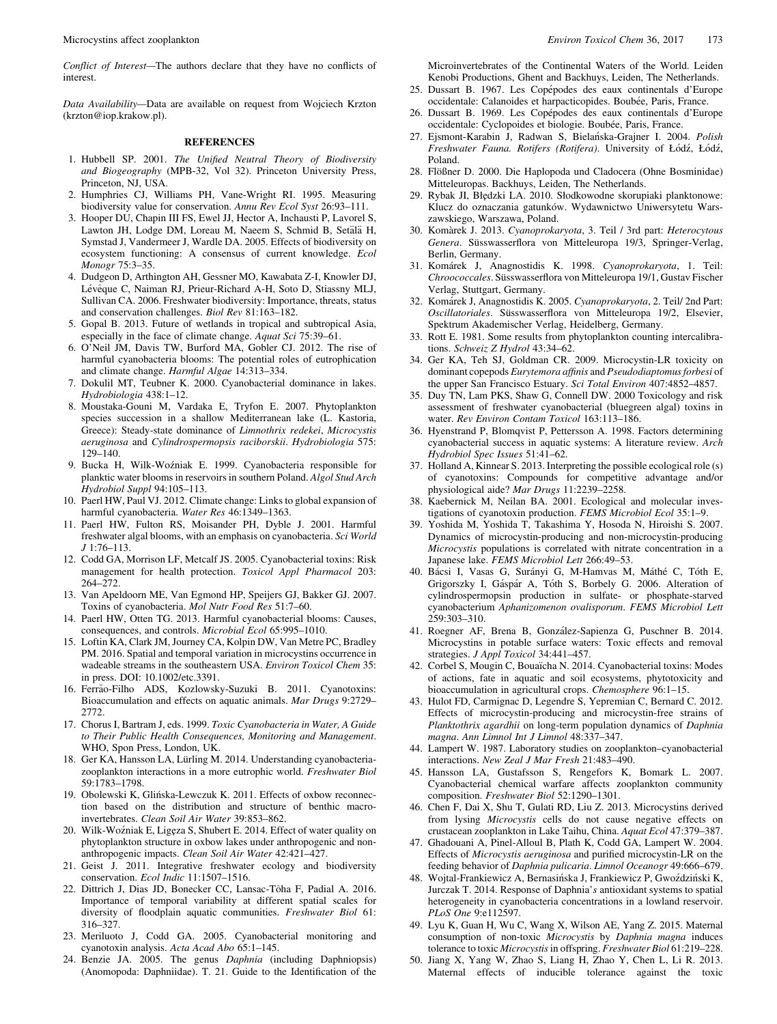Conflict of Interest—The authors declare that they have no conflicts of interest.

Data Availability—Data are available on request from Wojciech Krzton (krzton@iop.krakow.pl).

### **REFERENCES**

- 1. Hubbell SP. 2001. The Unified Neutral Theory of Biodiversity and Biogeography (MPB-32, Vol 32). Princeton University Press, Princeton, NJ, USA.
- 2. Humphries CJ, Williams PH, Vane-Wright RI. 1995. Measuring biodiversity value for conservation. Annu Rev Ecol Syst 26:93–111.
- 3. Hooper DU, Chapin III FS, Ewel JJ, Hector A, Inchausti P, Lavorel S, Lawton JH, Lodge DM, Loreau M, Naeem S, Schmid B, Setälä H, Symstad J, Vandermeer J, Wardle DA. 2005. Effects of biodiversity on ecosystem functioning: A consensus of current knowledge. Ecol Monogr 75:3–35.
- 4. Dudgeon D, Arthington AH, Gessner MO, Kawabata Z-I, Knowler DJ, Lévêque C, Naiman RJ, Prieur-Richard A-H, Soto D, Stiassny MLJ, Sullivan CA. 2006. Freshwater biodiversity: Importance, threats, status and conservation challenges. Biol Rev 81:163–182.
- 5. Gopal B. 2013. Future of wetlands in tropical and subtropical Asia, especially in the face of climate change. Aquat Sci 75:39–61.
- 6. O'Neil JM, Davis TW, Burford MA, Gobler CJ. 2012. The rise of harmful cyanobacteria blooms: The potential roles of eutrophication and climate change. Harmful Algae 14:313–334.
- 7. Dokulil MT, Teubner K. 2000. Cyanobacterial dominance in lakes. Hydrobiologia 438:1–12.
- 8. Moustaka-Gouni M, Vardaka E, Tryfon E. 2007. Phytoplankton species succession in a shallow Mediterranean lake (L. Kastoria, Greece): Steady-state dominance of Limnothrix redekei, Microcystis aeruginosa and Cylindrospermopsis raciborskii. Hydrobiologia 575: 129–140.
- 9. Bucka H, Wilk-Wozniak E. 1999. Cyanobacteria responsible for planktic water blooms in reservoirs in southern Poland. Algol Stud Arch Hydrobiol Suppl 94:105–113.
- 10. Paerl HW, Paul VJ. 2012. Climate change: Links to global expansion of harmful cyanobacteria. Water Res 46:1349–1363.
- 11. Paerl HW, Fulton RS, Moisander PH, Dyble J. 2001. Harmful freshwater algal blooms, with an emphasis on cyanobacteria. Sci World J 1:76–113.
- 12. Codd GA, Morrison LF, Metcalf JS. 2005. Cyanobacterial toxins: Risk management for health protection. Toxicol Appl Pharmacol 203: 264–272.
- 13. Van Apeldoorn ME, Van Egmond HP, Speijers GJ, Bakker GJ. 2007. Toxins of cyanobacteria. Mol Nutr Food Res 51:7–60.
- 14. Paerl HW, Otten TG. 2013. Harmful cyanobacterial blooms: Causes, consequences, and controls. Microbial Ecol 65:995–1010.
- 15. Loftin KA, Clark JM, Journey CA, Kolpin DW, Van Metre PC, Bradley PM. 2016. Spatial and temporal variation in microcystins occurrence in wadeable streams in the southeastern USA. Environ Toxicol Chem 35: in press. DOI: 10.1002/etc.3391.
- 16. Ferrão-Filho ADS, Kozlowsky-Suzuki B. 2011. Cyanotoxins: Bioaccumulation and effects on aquatic animals. Mar Drugs 9:2729– 2772.
- 17. Chorus I, Bartram J, eds. 1999. Toxic Cyanobacteria in Water, A Guide to Their Public Health Consequences, Monitoring and Management. WHO, Spon Press, London, UK.
- 18. Ger KA, Hansson LA, Lürling M. 2014. Understanding cyanobacteriazooplankton interactions in a more eutrophic world. Freshwater Biol 59:1783–1798.
- 19. Obolewski K, Glinska-Lewczuk K. 2011. Effects of oxbow reconnec tion based on the distribution and structure of benthic macroinvertebrates. Clean Soil Air Water 39:853–862.
- 20. Wilk-Woźniak E, Ligęza S, Shubert E. 2014. Effect of water quality on phytoplankton structure in oxbow lakes under anthropogenic and nonanthropogenic impacts. Clean Soil Air Water 42:421–427.
- 21. Geist J. 2011. Integrative freshwater ecology and biodiversity conservation. Ecol Indic 11:1507–1516.
- 22. Dittrich J, Dias JD, Bonecker CC, Lansac-T^oha F, Padial A. 2016. Importance of temporal variability at different spatial scales for diversity of floodplain aquatic communities. Freshwater Biol 61: 316–327.
- 23. Meriluoto J, Codd GA. 2005. Cyanobacterial monitoring and cyanotoxin analysis. Acta Acad Abo 65:1–145.
- 24. Benzie JA. 2005. The genus Daphnia (including Daphniopsis) (Anomopoda: Daphniidae). T. 21. Guide to the Identification of the

Microinvertebrates of the Continental Waters of the World. Leiden Kenobi Productions, Ghent and Backhuys, Leiden, The Netherlands.

- 25. Dussart B. 1967. Les Copépodes des eaux continentals d'Europe occidentale: Calanoides et harpacticopides. Boubée, Paris, France.
- 26. Dussart B. 1969. Les Copépodes des eaux continentals d'Europe occidentale: Cyclopoides et biologie. Boubée, Paris, France.
- 27. Ejsmont-Karabin J, Radwan S, Bielanska-Grajner I. 2004. Polish Freshwater Fauna. Rotifers (Rotifera). University of Łódź, Łódź, Poland.
- 28. Flößner D. 2000. Die Haplopoda und Cladocera (Ohne Bosminidae) Mitteleuropas. Backhuys, Leiden, The Netherlands.
- 29. Rybak JI, Błędzki LA. 2010. Słodkowodne skorupiaki planktonowe: Klucz do oznaczania gatunków. Wydawnictwo Uniwersytetu Warszawskiego, Warszawa, Poland.
- 30. Komarek J. 2013. Cyanoprokaryota, 3. Teil / 3rd part: Heterocytous Genera. Süsswasserflora von Mitteleuropa 19/3, Springer-Verlag, Berlin, Germany.
- 31. Komarek J, Anagnostidis K. 1998. Cyanoprokaryota, 1. Teil: Chroococcales. Süsswasserflora von Mitteleuropa 19/1, Gustav Fischer Verlag, Stuttgart, Germany.
- 32. Komarek J, Anagnostidis K. 2005. Cyanoprokaryota, 2. Teil/ 2nd Part: Oscillatoriales. Süsswasserflora von Mitteleuropa 19/2, Elsevier, Spektrum Akademischer Verlag, Heidelberg, Germany.
- 33. Rott E. 1981. Some results from phytoplankton counting intercalibrations. Schweiz Z Hydrol 43:34–62.
- 34. Ger KA, Teh SJ, Goldman CR. 2009. Microcystin-LR toxicity on dominant copepods Eurytemora affinis and Pseudodiaptomus forbesi of the upper San Francisco Estuary. Sci Total Environ 407:4852–4857.
- 35. Duy TN, Lam PKS, Shaw G, Connell DW. 2000 Toxicology and risk assessment of freshwater cyanobacterial (bluegreen algal) toxins in water. Rev Environ Contam Toxicol 163:113–186.
- 36. Hyenstrand P, Blomqvist P, Pettersson A. 1998. Factors determining cyanobacterial success in aquatic systems: A literature review. Arch Hydrobiol Spec Issues 51:41–62.
- 37. Holland A, Kinnear S. 2013. Interpreting the possible ecological role (s) of cyanotoxins: Compounds for competitive advantage and/or physiological aide? Mar Drugs 11:2239–2258.
- 38. Kaebernick M, Neilan BA. 2001. Ecological and molecular investigations of cyanotoxin production. FEMS Microbiol Ecol 35:1–9.
- 39. Yoshida M, Yoshida T, Takashima Y, Hosoda N, Hiroishi S. 2007. Dynamics of microcystin-producing and non-microcystin-producing Microcystis populations is correlated with nitrate concentration in a Japanese lake. FEMS Microbiol Lett 266:49–53.
- 40. Bácsi I, Vasas G, Surányi G, M-Hamvas M, Máthé C, Tóth E, Grigorszky I, Gáspár A, Tóth S, Borbely G. 2006. Alteration of cylindrospermopsin production in sulfate- or phosphate-starved cyanobacterium Aphanizomenon ovalisporum. FEMS Microbiol Lett 259:303–310.
- 41. Roegner AF, Brena B, Gonzalez-Sapienza G, Puschner B. 2014. Microcystins in potable surface waters: Toxic effects and removal strategies. J Appl Toxicol 34:441–457.
- 42. Corbel S, Mougin C, Bouaïcha N. 2014. Cyanobacterial toxins: Modes of actions, fate in aquatic and soil ecosystems, phytotoxicity and bioaccumulation in agricultural crops. Chemosphere 96:1–15.
- 43. Hulot FD, Carmignac D, Legendre S, Yepremian C, Bernard C. 2012. Effects of microcystin-producing and microcystin-free strains of Planktothrix agardhii on long-term population dynamics of Daphnia magna. Ann Limnol Int J Limnol 48:337–347.
- 44. Lampert W. 1987. Laboratory studies on zooplankton–cyanobacterial interactions. New Zeal J Mar Fresh 21:483–490.
- 45. Hansson LA, Gustafsson S, Rengefors K, Bomark L. 2007. Cyanobacterial chemical warfare affects zooplankton community composition. Freshwater Biol 52:1290–1301.
- 46. Chen F, Dai X, Shu T, Gulati RD, Liu Z. 2013. Microcystins derived from lysing Microcystis cells do not cause negative effects on crustacean zooplankton in Lake Taihu, China. Aquat Ecol 47:379–387.
- 47. Ghadouani A, Pinel-Alloul B, Plath K, Codd GA, Lampert W. 2004. Effects of Microcystis aeruginosa and purified microcystin-LR on the feeding behavior of Daphnia pulicaria. Limnol Oceanogr 49:666–679.
- 48. Wojtal-Frankiewicz A, Bernasinska J, Frankiewicz P, Gwozdzinski K, Jurczak T. 2014. Response of Daphnia's antioxidant systems to spatial heterogeneity in cyanobacteria concentrations in a lowland reservoir. PLoS One 9:e112597.
- 49. Lyu K, Guan H, Wu C, Wang X, Wilson AE, Yang Z. 2015. Maternal consumption of non-toxic Microcystis by Daphnia magna induces tolerance to toxic Microcystis in offspring. Freshwater Biol 61:219-228.
- 50. Jiang X, Yang W, Zhao S, Liang H, Zhao Y, Chen L, Li R. 2013. Maternal effects of inducible tolerance against the toxic